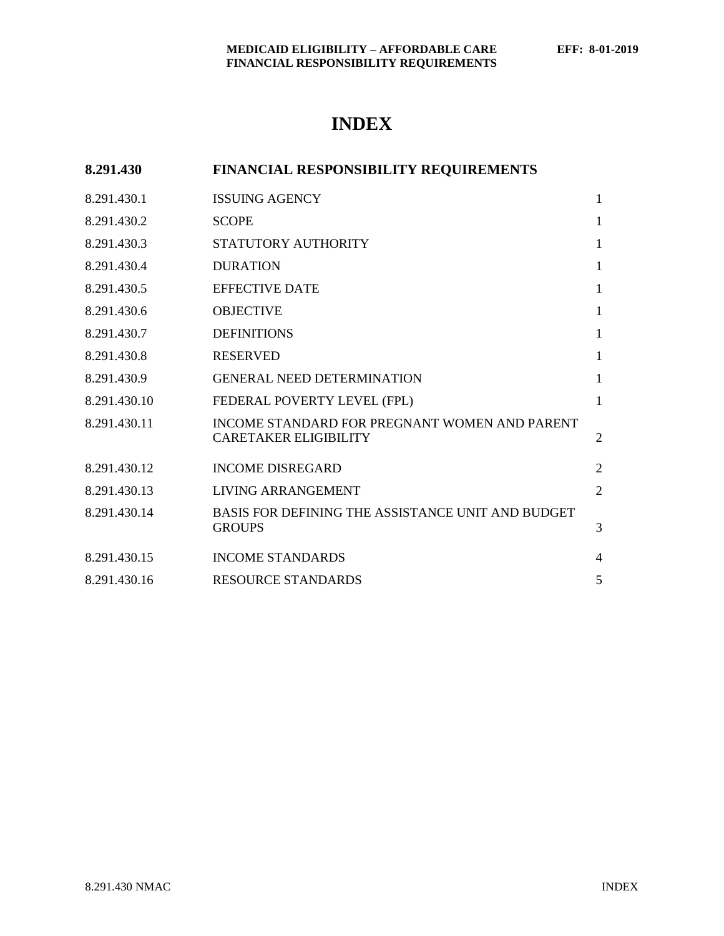# **INDEX**

| 8.291.430    | FINANCIAL RESPONSIBILITY REQUIREMENTS                                         |                |  |  |  |  |
|--------------|-------------------------------------------------------------------------------|----------------|--|--|--|--|
| 8.291.430.1  | <b>ISSUING AGENCY</b>                                                         | $\mathbf{1}$   |  |  |  |  |
| 8.291.430.2  | <b>SCOPE</b>                                                                  |                |  |  |  |  |
| 8.291.430.3  | STATUTORY AUTHORITY                                                           | $\mathbf{1}$   |  |  |  |  |
| 8.291.430.4  | <b>DURATION</b>                                                               |                |  |  |  |  |
| 8.291.430.5  | <b>EFFECTIVE DATE</b>                                                         |                |  |  |  |  |
| 8.291.430.6  | <b>OBJECTIVE</b>                                                              | $\mathbf{1}$   |  |  |  |  |
| 8.291.430.7  | <b>DEFINITIONS</b>                                                            | $\mathbf{1}$   |  |  |  |  |
| 8.291.430.8  | <b>RESERVED</b>                                                               | $\mathbf{1}$   |  |  |  |  |
| 8.291.430.9  | <b>GENERAL NEED DETERMINATION</b>                                             | $\mathbf{1}$   |  |  |  |  |
| 8.291.430.10 | FEDERAL POVERTY LEVEL (FPL)                                                   | $\mathbf{1}$   |  |  |  |  |
| 8.291.430.11 | INCOME STANDARD FOR PREGNANT WOMEN AND PARENT<br><b>CARETAKER ELIGIBILITY</b> | 2              |  |  |  |  |
| 8.291.430.12 | <b>INCOME DISREGARD</b>                                                       | $\overline{2}$ |  |  |  |  |
| 8.291.430.13 | LIVING ARRANGEMENT                                                            | $\overline{2}$ |  |  |  |  |
| 8.291.430.14 | BASIS FOR DEFINING THE ASSISTANCE UNIT AND BUDGET<br><b>GROUPS</b>            | 3              |  |  |  |  |
| 8.291.430.15 | <b>INCOME STANDARDS</b>                                                       | $\overline{4}$ |  |  |  |  |
| 8.291.430.16 | <b>RESOURCE STANDARDS</b>                                                     | 5              |  |  |  |  |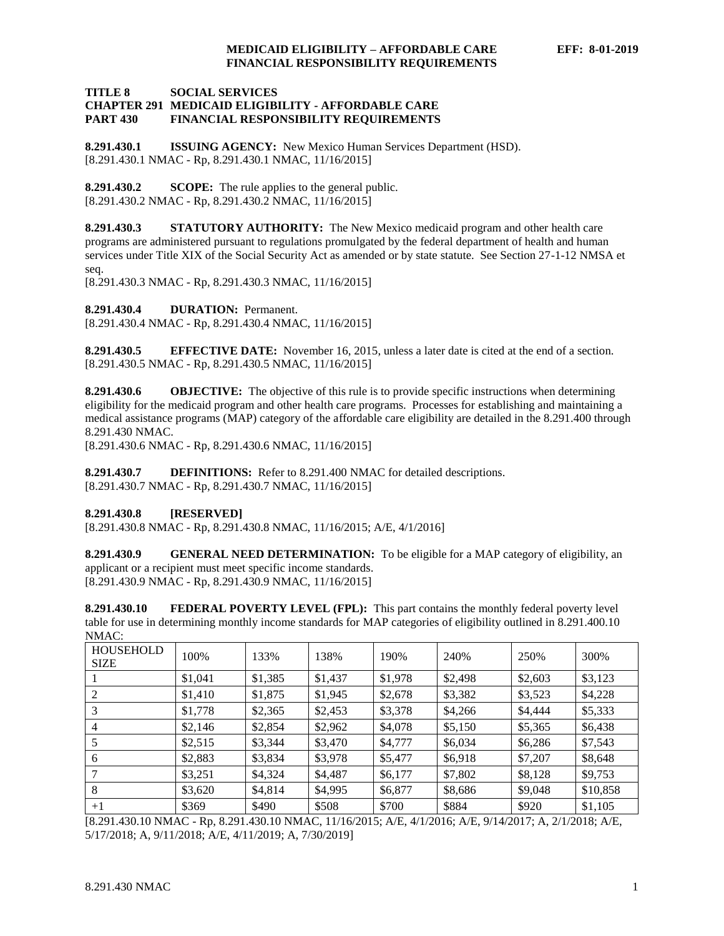#### **TITLE 8 SOCIAL SERVICES CHAPTER 291 MEDICAID ELIGIBILITY - AFFORDABLE CARE PART 430 FINANCIAL RESPONSIBILITY REQUIREMENTS**

<span id="page-1-0"></span>**8.291.430.1 ISSUING AGENCY:** New Mexico Human Services Department (HSD). [8.291.430.1 NMAC - Rp, 8.291.430.1 NMAC, 11/16/2015]

<span id="page-1-1"></span>**8.291.430.2 SCOPE:** The rule applies to the general public. [8.291.430.2 NMAC - Rp, 8.291.430.2 NMAC, 11/16/2015]

<span id="page-1-2"></span>**8.291.430.3 STATUTORY AUTHORITY:** The New Mexico medicaid program and other health care programs are administered pursuant to regulations promulgated by the federal department of health and human services under Title XIX of the Social Security Act as amended or by state statute. See Section 27-1-12 NMSA et seq.

[8.291.430.3 NMAC - Rp, 8.291.430.3 NMAC, 11/16/2015]

<span id="page-1-3"></span>**8.291.430.4 DURATION:** Permanent.

[8.291.430.4 NMAC - Rp, 8.291.430.4 NMAC, 11/16/2015]

<span id="page-1-4"></span>**8.291.430.5 EFFECTIVE DATE:** November 16, 2015, unless a later date is cited at the end of a section. [8.291.430.5 NMAC - Rp, 8.291.430.5 NMAC, 11/16/2015]

<span id="page-1-5"></span>**8.291.430.6 OBJECTIVE:** The objective of this rule is to provide specific instructions when determining eligibility for the medicaid program and other health care programs. Processes for establishing and maintaining a medical assistance programs (MAP) category of the affordable care eligibility are detailed in the 8.291.400 through 8.291.430 NMAC.

[8.291.430.6 NMAC - Rp, 8.291.430.6 NMAC, 11/16/2015]

<span id="page-1-6"></span>**8.291.430.7 DEFINITIONS:** Refer to 8.291.400 NMAC for detailed descriptions. [8.291.430.7 NMAC - Rp, 8.291.430.7 NMAC, 11/16/2015]

### <span id="page-1-7"></span>**8.291.430.8 [RESERVED]**

[8.291.430.8 NMAC - Rp, 8.291.430.8 NMAC, 11/16/2015; A/E, 4/1/2016]

<span id="page-1-8"></span>**8.291.430.9 GENERAL NEED DETERMINATION:** To be eligible for a MAP category of eligibility, an applicant or a recipient must meet specific income standards. [8.291.430.9 NMAC - Rp, 8.291.430.9 NMAC, 11/16/2015]

<span id="page-1-9"></span>**8.291.430.10 FEDERAL POVERTY LEVEL (FPL):** This part contains the monthly federal poverty level table for use in determining monthly income standards for MAP categories of eligibility outlined in 8.291.400.10  $NMAAC$ 

| <b>HOUSEHOLD</b><br><b>SIZE</b> | 100%    | 133%    | 138%    | 190%    | 240%    | 250%    | 300%     |
|---------------------------------|---------|---------|---------|---------|---------|---------|----------|
|                                 | \$1,041 | \$1,385 | \$1,437 | \$1,978 | \$2,498 | \$2,603 | \$3,123  |
| 2                               | \$1,410 | \$1,875 | \$1,945 | \$2,678 | \$3,382 | \$3,523 | \$4,228  |
|                                 | \$1,778 | \$2,365 | \$2,453 | \$3,378 | \$4,266 | \$4,444 | \$5,333  |
| 4                               | \$2,146 | \$2,854 | \$2,962 | \$4,078 | \$5,150 | \$5,365 | \$6,438  |
|                                 | \$2,515 | \$3,344 | \$3,470 | \$4,777 | \$6,034 | \$6,286 | \$7,543  |
| 6                               | \$2,883 | \$3,834 | \$3,978 | \$5,477 | \$6,918 | \$7,207 | \$8,648  |
|                                 | \$3,251 | \$4,324 | \$4,487 | \$6,177 | \$7,802 | \$8,128 | \$9,753  |
| 8                               | \$3,620 | \$4,814 | \$4,995 | \$6,877 | \$8,686 | \$9,048 | \$10,858 |
| $+1$                            | \$369   | \$490   | \$508   | \$700   | \$884   | \$920   | \$1,105  |

[8.291.430.10 NMAC - Rp, 8.291.430.10 NMAC, 11/16/2015; A/E, 4/1/2016; A/E, 9/14/2017; A, 2/1/2018; A/E, 5/17/2018; A, 9/11/2018; A/E, 4/11/2019; A, 7/30/2019]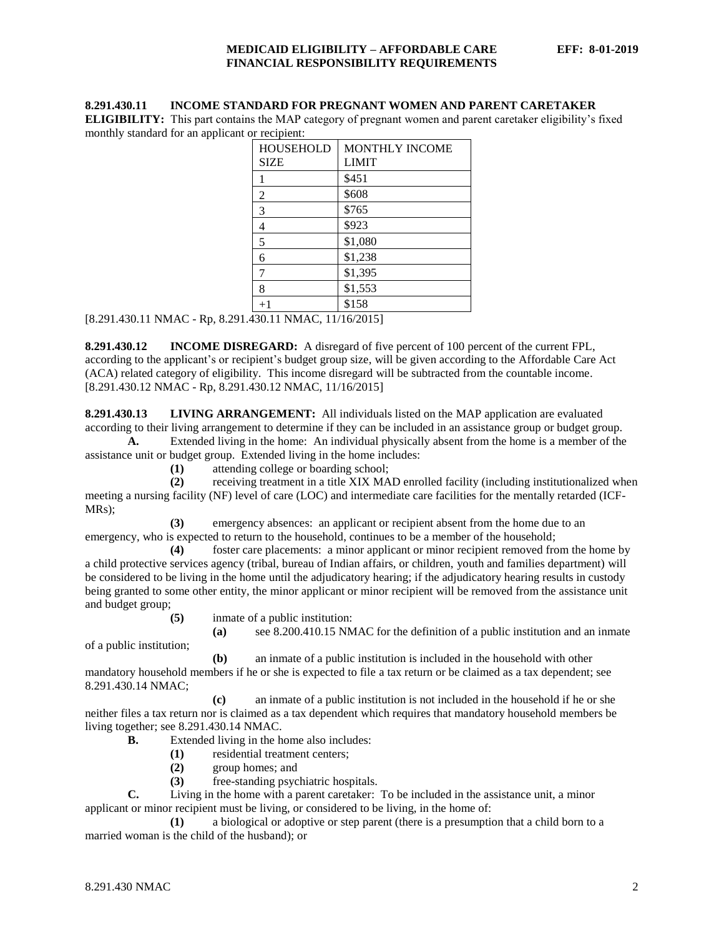#### <span id="page-2-0"></span>**8.291.430.11 INCOME STANDARD FOR PREGNANT WOMEN AND PARENT CARETAKER**

**ELIGIBILITY:** This part contains the MAP category of pregnant women and parent caretaker eligibility's fixed monthly standard for an applicant or recipient:

| <b>MONTHLY INCOME</b> |  |  |  |  |
|-----------------------|--|--|--|--|
| <b>LIMIT</b>          |  |  |  |  |
| \$451                 |  |  |  |  |
| \$608                 |  |  |  |  |
| \$765                 |  |  |  |  |
| \$923                 |  |  |  |  |
| \$1,080               |  |  |  |  |
| \$1,238               |  |  |  |  |
| \$1,395               |  |  |  |  |
| \$1,553               |  |  |  |  |
| \$158                 |  |  |  |  |
|                       |  |  |  |  |

[8.291.430.11 NMAC - Rp, 8.291.430.11 NMAC, 11/16/2015]

<span id="page-2-1"></span>**8.291.430.12 INCOME DISREGARD:** A disregard of five percent of 100 percent of the current FPL, according to the applicant's or recipient's budget group size, will be given according to the Affordable Care Act (ACA) related category of eligibility. This income disregard will be subtracted from the countable income. [8.291.430.12 NMAC - Rp, 8.291.430.12 NMAC, 11/16/2015]

<span id="page-2-2"></span>**8.291.430.13 LIVING ARRANGEMENT:** All individuals listed on the MAP application are evaluated according to their living arrangement to determine if they can be included in an assistance group or budget group.

**A.** Extended living in the home: An individual physically absent from the home is a member of the assistance unit or budget group. Extended living in the home includes:

**(1)** attending college or boarding school;

**(2)** receiving treatment in a title XIX MAD enrolled facility (including institutionalized when meeting a nursing facility (NF) level of care (LOC) and intermediate care facilities for the mentally retarded (ICF-MRs);

**(3)** emergency absences: an applicant or recipient absent from the home due to an emergency, who is expected to return to the household, continues to be a member of the household;

**(4)** foster care placements: a minor applicant or minor recipient removed from the home by a child protective services agency (tribal, bureau of Indian affairs, or children, youth and families department) will be considered to be living in the home until the adjudicatory hearing; if the adjudicatory hearing results in custody being granted to some other entity, the minor applicant or minor recipient will be removed from the assistance unit and budget group;

**(5)** inmate of a public institution:

**(a)** see 8.200.410.15 NMAC for the definition of a public institution and an inmate

of a public institution;

**(b)** an inmate of a public institution is included in the household with other mandatory household members if he or she is expected to file a tax return or be claimed as a tax dependent; see 8.291.430.14 NMAC;

**(c)** an inmate of a public institution is not included in the household if he or she neither files a tax return nor is claimed as a tax dependent which requires that mandatory household members be living together; see 8.291.430.14 NMAC.

**B.** Extended living in the home also includes:

- **(1)** residential treatment centers;
- **(2)** group homes; and
- **(3)** free-standing psychiatric hospitals.

**C.** Living in the home with a parent caretaker: To be included in the assistance unit, a minor applicant or minor recipient must be living, or considered to be living, in the home of:

**(1)** a biological or adoptive or step parent (there is a presumption that a child born to a married woman is the child of the husband); or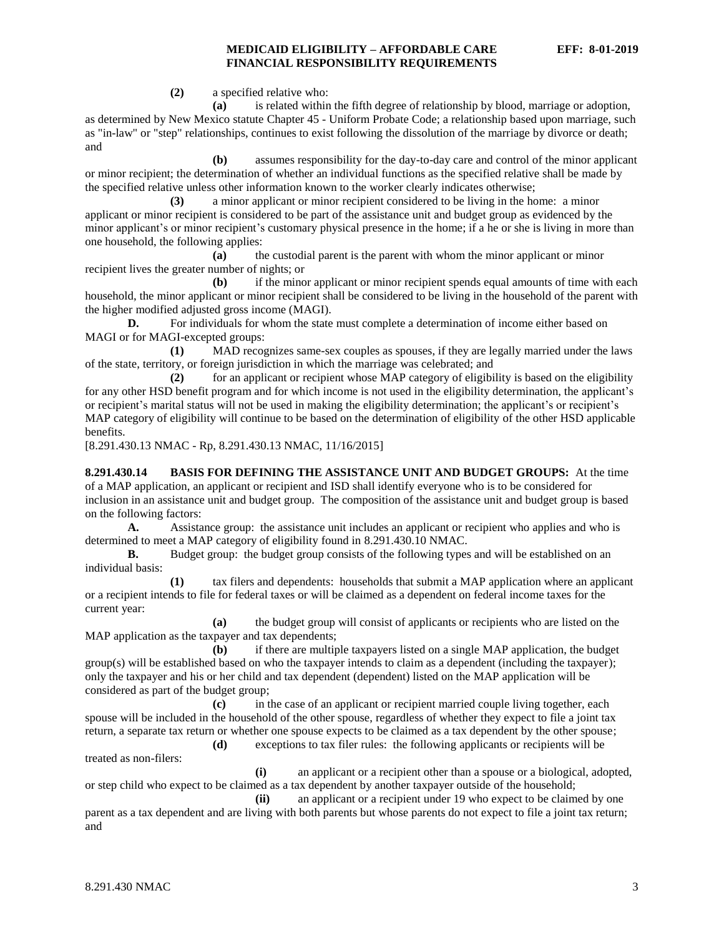**(2)** a specified relative who:

**(a)** is related within the fifth degree of relationship by blood, marriage or adoption, as determined by New Mexico statute Chapter 45 - Uniform Probate Code; a relationship based upon marriage, such as "in-law" or "step" relationships, continues to exist following the dissolution of the marriage by divorce or death; and

**(b)** assumes responsibility for the day-to-day care and control of the minor applicant or minor recipient; the determination of whether an individual functions as the specified relative shall be made by the specified relative unless other information known to the worker clearly indicates otherwise;

**(3)** a minor applicant or minor recipient considered to be living in the home: a minor applicant or minor recipient is considered to be part of the assistance unit and budget group as evidenced by the minor applicant's or minor recipient's customary physical presence in the home; if a he or she is living in more than one household, the following applies:

**(a)** the custodial parent is the parent with whom the minor applicant or minor recipient lives the greater number of nights; or

**(b)** if the minor applicant or minor recipient spends equal amounts of time with each household, the minor applicant or minor recipient shall be considered to be living in the household of the parent with the higher modified adjusted gross income (MAGI).

**D.** For individuals for whom the state must complete a determination of income either based on MAGI or for MAGI-excepted groups:

**(1)** MAD recognizes same-sex couples as spouses, if they are legally married under the laws of the state, territory, or foreign jurisdiction in which the marriage was celebrated; and

**(2)** for an applicant or recipient whose MAP category of eligibility is based on the eligibility for any other HSD benefit program and for which income is not used in the eligibility determination, the applicant's or recipient's marital status will not be used in making the eligibility determination; the applicant's or recipient's MAP category of eligibility will continue to be based on the determination of eligibility of the other HSD applicable benefits.

[8.291.430.13 NMAC - Rp, 8.291.430.13 NMAC, 11/16/2015]

<span id="page-3-0"></span>**8.291.430.14 BASIS FOR DEFINING THE ASSISTANCE UNIT AND BUDGET GROUPS:** At the time of a MAP application, an applicant or recipient and ISD shall identify everyone who is to be considered for inclusion in an assistance unit and budget group. The composition of the assistance unit and budget group is based on the following factors:

**A.** Assistance group: the assistance unit includes an applicant or recipient who applies and who is determined to meet a MAP category of eligibility found in 8.291.430.10 NMAC.<br> **B.** Budget group: the budget group consists of the following types

Budget group: the budget group consists of the following types and will be established on an individual basis:

**(1)** tax filers and dependents: households that submit a MAP application where an applicant or a recipient intends to file for federal taxes or will be claimed as a dependent on federal income taxes for the current year:

**(a)** the budget group will consist of applicants or recipients who are listed on the MAP application as the taxpayer and tax dependents;

**(b)** if there are multiple taxpayers listed on a single MAP application, the budget group(s) will be established based on who the taxpayer intends to claim as a dependent (including the taxpayer); only the taxpayer and his or her child and tax dependent (dependent) listed on the MAP application will be considered as part of the budget group;

**(c)** in the case of an applicant or recipient married couple living together, each spouse will be included in the household of the other spouse, regardless of whether they expect to file a joint tax return, a separate tax return or whether one spouse expects to be claimed as a tax dependent by the other spouse;

**(d)** exceptions to tax filer rules: the following applicants or recipients will be

treated as non-filers:

**(i)** an applicant or a recipient other than a spouse or a biological, adopted, or step child who expect to be claimed as a tax dependent by another taxpayer outside of the household;

**(ii)** an applicant or a recipient under 19 who expect to be claimed by one parent as a tax dependent and are living with both parents but whose parents do not expect to file a joint tax return; and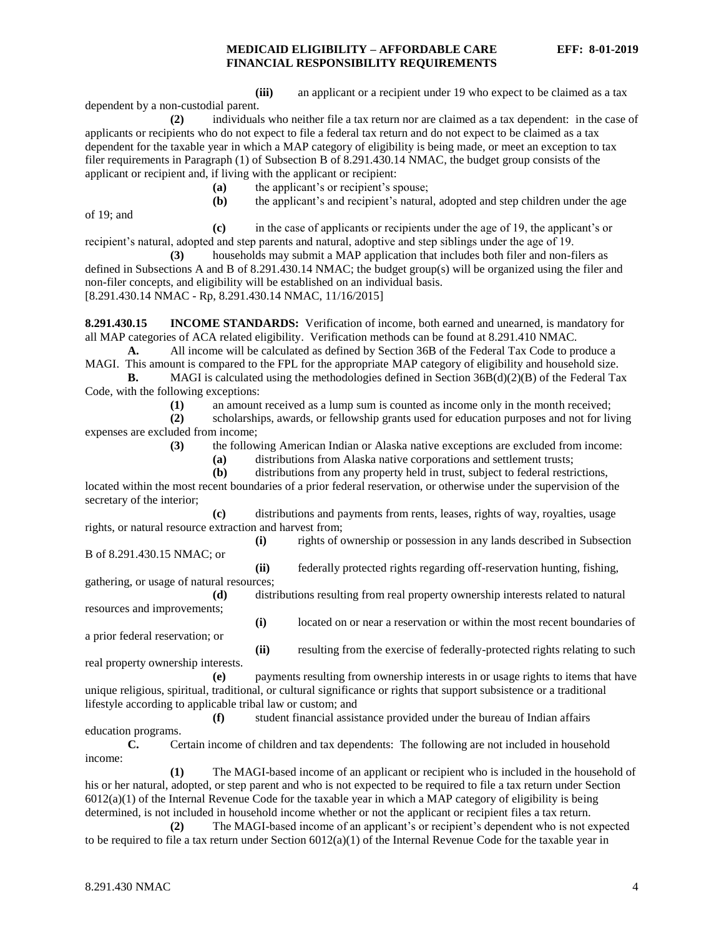**(iii)** an applicant or a recipient under 19 who expect to be claimed as a tax dependent by a non-custodial parent.

**(2)** individuals who neither file a tax return nor are claimed as a tax dependent: in the case of applicants or recipients who do not expect to file a federal tax return and do not expect to be claimed as a tax dependent for the taxable year in which a MAP category of eligibility is being made, or meet an exception to tax filer requirements in Paragraph (1) of Subsection B of 8.291.430.14 NMAC, the budget group consists of the applicant or recipient and, if living with the applicant or recipient:

**(a)** the applicant's or recipient's spouse;

**(b)** the applicant's and recipient's natural, adopted and step children under the age

of 19; and

**(c)** in the case of applicants or recipients under the age of 19, the applicant's or recipient's natural, adopted and step parents and natural, adoptive and step siblings under the age of 19.

**(3)** households may submit a MAP application that includes both filer and non-filers as defined in Subsections A and B of 8.291.430.14 NMAC; the budget group(s) will be organized using the filer and non-filer concepts, and eligibility will be established on an individual basis. [8.291.430.14 NMAC - Rp, 8.291.430.14 NMAC, 11/16/2015]

<span id="page-4-0"></span>**8.291.430.15 INCOME STANDARDS:** Verification of income, both earned and unearned, is mandatory for all MAP categories of ACA related eligibility. Verification methods can be found at 8.291.410 NMAC.

**A.** All income will be calculated as defined by Section 36B of the Federal Tax Code to produce a MAGI. This amount is compared to the FPL for the appropriate MAP category of eligibility and household size.

**B.** MAGI is calculated using the methodologies defined in Section 36B(d)(2)(B) of the Federal Tax Code, with the following exceptions:

**(1)** an amount received as a lump sum is counted as income only in the month received;

**(2)** scholarships, awards, or fellowship grants used for education purposes and not for living expenses are excluded from income;

**(3)** the following American Indian or Alaska native exceptions are excluded from income:

**(a)** distributions from Alaska native corporations and settlement trusts;

**(b)** distributions from any property held in trust, subject to federal restrictions, located within the most recent boundaries of a prior federal reservation, or otherwise under the supervision of the secretary of the interior;

**(c)** distributions and payments from rents, leases, rights of way, royalties, usage rights, or natural resource extraction and harvest from;

**(i)** rights of ownership or possession in any lands described in Subsection B of 8.291.430.15 NMAC; or

**(ii)** federally protected rights regarding off-reservation hunting, fishing, gathering, or usage of natural resources;

**(d)** distributions resulting from real property ownership interests related to natural resources and improvements;

**(i)** located on or near a reservation or within the most recent boundaries of a prior federal reservation; or

**(ii)** resulting from the exercise of federally-protected rights relating to such real property ownership interests.

**(e)** payments resulting from ownership interests in or usage rights to items that have unique religious, spiritual, traditional, or cultural significance or rights that support subsistence or a traditional lifestyle according to applicable tribal law or custom; and

**(f)** student financial assistance provided under the bureau of Indian affairs education programs.

**C.** Certain income of children and tax dependents: The following are not included in household income:

**(1)** The MAGI-based income of an applicant or recipient who is included in the household of his or her natural, adopted, or step parent and who is not expected to be required to file a tax return under Section  $6012(a)(1)$  of the Internal Revenue Code for the taxable year in which a MAP category of eligibility is being determined, is not included in household income whether or not the applicant or recipient files a tax return.

**(2)** The MAGI-based income of an applicant's or recipient's dependent who is not expected to be required to file a tax return under Section  $6012(a)(1)$  of the Internal Revenue Code for the taxable year in